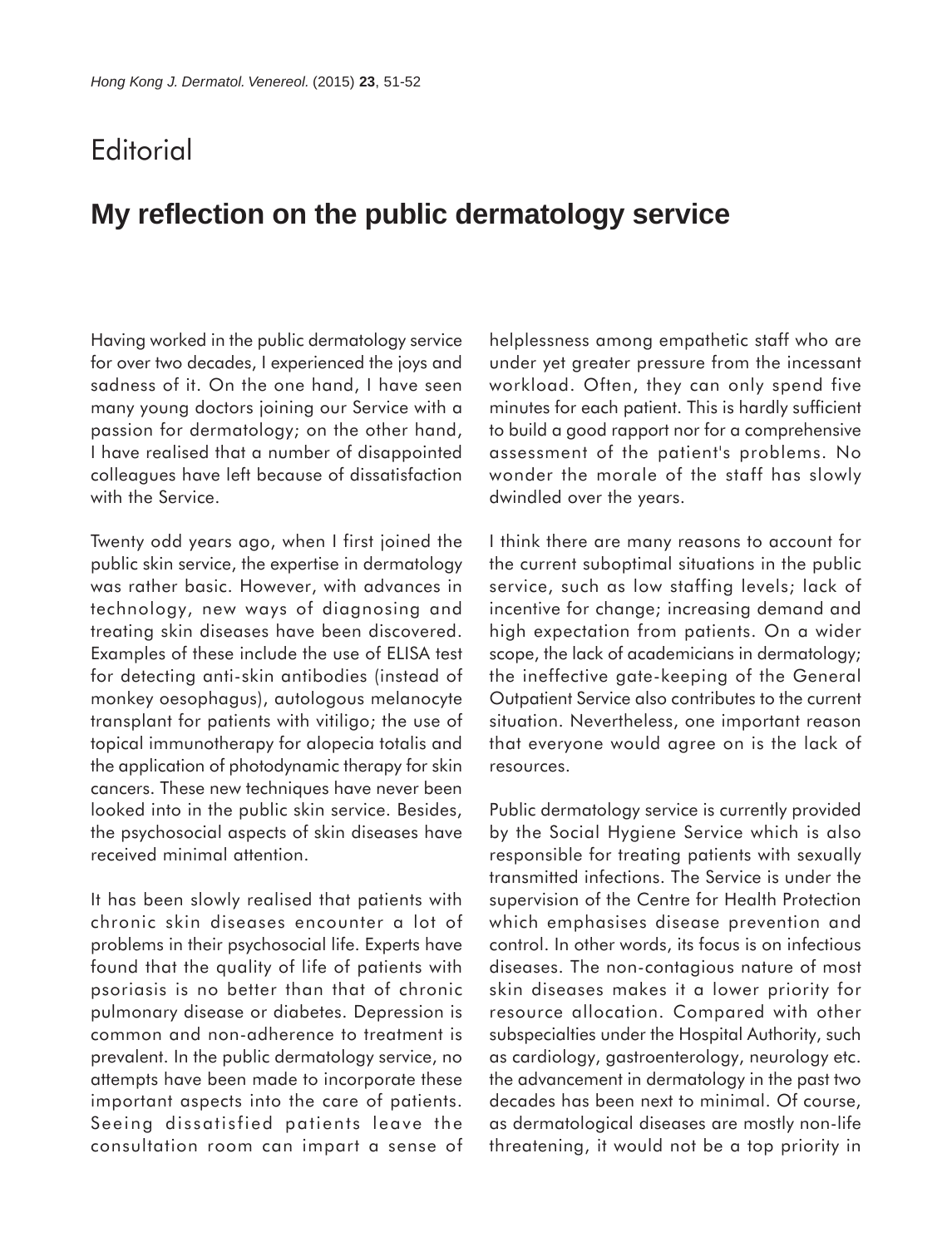## **Editorial**

## **My reflection on the public dermatology service**

Having worked in the public dermatology service for over two decades, I experienced the joys and sadness of it. On the one hand, I have seen many young doctors joining our Service with a passion for dermatology; on the other hand, I have realised that a number of disappointed colleagues have left because of dissatisfaction with the Service.

Twenty odd years ago, when I first joined the public skin service, the expertise in dermatology was rather basic. However, with advances in technology, new ways of diagnosing and treating skin diseases have been discovered. Examples of these include the use of ELISA test for detecting anti-skin antibodies (instead of monkey oesophagus), autologous melanocyte transplant for patients with vitiligo; the use of topical immunotherapy for alopecia totalis and the application of photodynamic therapy for skin cancers. These new techniques have never been looked into in the public skin service. Besides, the psychosocial aspects of skin diseases have received minimal attention.

It has been slowly realised that patients with chronic skin diseases encounter a lot of problems in their psychosocial life. Experts have found that the quality of life of patients with psoriasis is no better than that of chronic pulmonary disease or diabetes. Depression is common and non-adherence to treatment is prevalent. In the public dermatology service, no attempts have been made to incorporate these important aspects into the care of patients. Seeing dissatisfied patients leave the consultation room can impart a sense of helplessness among empathetic staff who are under yet greater pressure from the incessant workload. Often, they can only spend five minutes for each patient. This is hardly sufficient to build a good rapport nor for a comprehensive assessment of the patient's problems. No wonder the morale of the staff has slowly dwindled over the years.

I think there are many reasons to account for the current suboptimal situations in the public service, such as low staffing levels; lack of incentive for change; increasing demand and high expectation from patients. On a wider scope, the lack of academicians in dermatology; the ineffective gate-keeping of the General Outpatient Service also contributes to the current situation. Nevertheless, one important reason that everyone would agree on is the lack of resources.

Public dermatology service is currently provided by the Social Hygiene Service which is also responsible for treating patients with sexually transmitted infections. The Service is under the supervision of the Centre for Health Protection which emphasises disease prevention and control. In other words, its focus is on infectious diseases. The non-contagious nature of most skin diseases makes it a lower priority for resource allocation. Compared with other subspecialties under the Hospital Authority, such as cardiology, gastroenterology, neurology etc. the advancement in dermatology in the past two decades has been next to minimal. Of course, as dermatological diseases are mostly non-life threatening, it would not be a top priority in